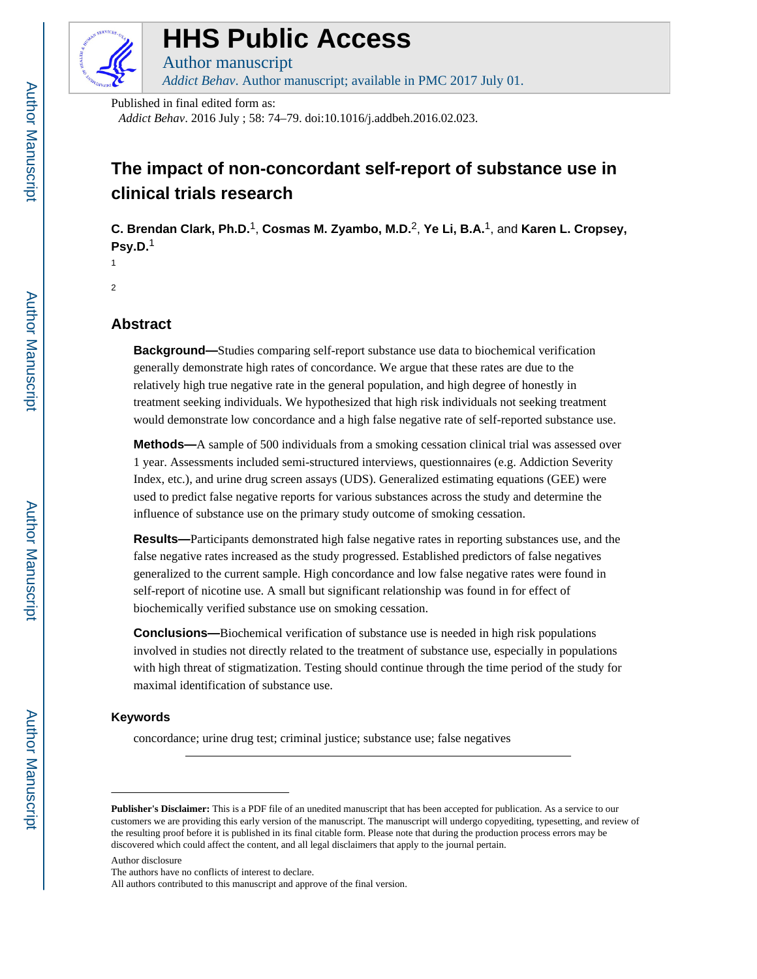

## **HHS Public Access**

Author manuscript *Addict Behav*. Author manuscript; available in PMC 2017 July 01.

Published in final edited form as:

*Addict Behav*. 2016 July ; 58: 74–79. doi:10.1016/j.addbeh.2016.02.023.

### **The impact of non-concordant self-report of substance use in clinical trials research**

**C. Brendan Clark, Ph.D.**1, **Cosmas M. Zyambo, M.D.**2, **Ye Li, B.A.**1, and **Karen L. Cropsey, Psy.D.**<sup>1</sup>

1

2

### **Abstract**

**Background—**Studies comparing self-report substance use data to biochemical verification generally demonstrate high rates of concordance. We argue that these rates are due to the relatively high true negative rate in the general population, and high degree of honestly in treatment seeking individuals. We hypothesized that high risk individuals not seeking treatment would demonstrate low concordance and a high false negative rate of self-reported substance use.

**Methods—**A sample of 500 individuals from a smoking cessation clinical trial was assessed over 1 year. Assessments included semi-structured interviews, questionnaires (e.g. Addiction Severity Index, etc.), and urine drug screen assays (UDS). Generalized estimating equations (GEE) were used to predict false negative reports for various substances across the study and determine the influence of substance use on the primary study outcome of smoking cessation.

**Results—**Participants demonstrated high false negative rates in reporting substances use, and the false negative rates increased as the study progressed. Established predictors of false negatives generalized to the current sample. High concordance and low false negative rates were found in self-report of nicotine use. A small but significant relationship was found in for effect of biochemically verified substance use on smoking cessation.

**Conclusions—**Biochemical verification of substance use is needed in high risk populations involved in studies not directly related to the treatment of substance use, especially in populations with high threat of stigmatization. Testing should continue through the time period of the study for maximal identification of substance use.

#### **Keywords**

concordance; urine drug test; criminal justice; substance use; false negatives

**Publisher's Disclaimer:** This is a PDF file of an unedited manuscript that has been accepted for publication. As a service to our customers we are providing this early version of the manuscript. The manuscript will undergo copyediting, typesetting, and review of the resulting proof before it is published in its final citable form. Please note that during the production process errors may be discovered which could affect the content, and all legal disclaimers that apply to the journal pertain.

Author disclosure

The authors have no conflicts of interest to declare.

All authors contributed to this manuscript and approve of the final version.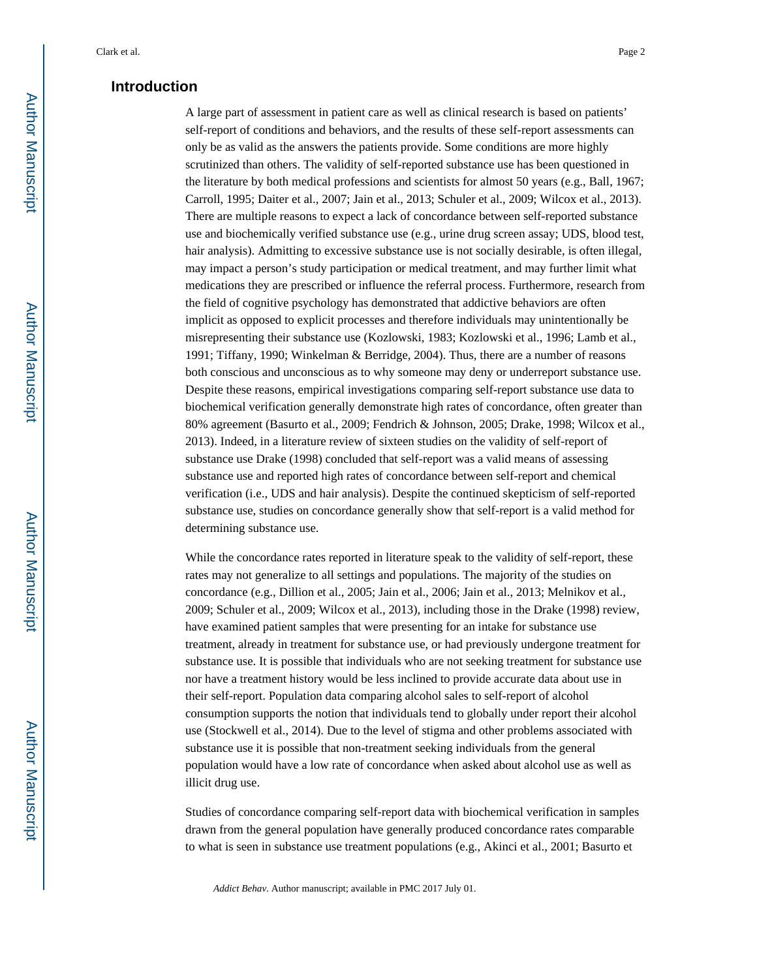#### **Introduction**

A large part of assessment in patient care as well as clinical research is based on patients' self-report of conditions and behaviors, and the results of these self-report assessments can only be as valid as the answers the patients provide. Some conditions are more highly scrutinized than others. The validity of self-reported substance use has been questioned in the literature by both medical professions and scientists for almost 50 years (e.g., Ball, 1967; Carroll, 1995; Daiter et al., 2007; Jain et al., 2013; Schuler et al., 2009; Wilcox et al., 2013). There are multiple reasons to expect a lack of concordance between self-reported substance use and biochemically verified substance use (e.g., urine drug screen assay; UDS, blood test, hair analysis). Admitting to excessive substance use is not socially desirable, is often illegal, may impact a person's study participation or medical treatment, and may further limit what medications they are prescribed or influence the referral process. Furthermore, research from the field of cognitive psychology has demonstrated that addictive behaviors are often implicit as opposed to explicit processes and therefore individuals may unintentionally be misrepresenting their substance use (Kozlowski, 1983; Kozlowski et al., 1996; Lamb et al., 1991; Tiffany, 1990; Winkelman & Berridge, 2004). Thus, there are a number of reasons both conscious and unconscious as to why someone may deny or underreport substance use. Despite these reasons, empirical investigations comparing self-report substance use data to biochemical verification generally demonstrate high rates of concordance, often greater than 80% agreement (Basurto et al., 2009; Fendrich & Johnson, 2005; Drake, 1998; Wilcox et al., 2013). Indeed, in a literature review of sixteen studies on the validity of self-report of substance use Drake (1998) concluded that self-report was a valid means of assessing substance use and reported high rates of concordance between self-report and chemical verification (i.e., UDS and hair analysis). Despite the continued skepticism of self-reported substance use, studies on concordance generally show that self-report is a valid method for determining substance use.

While the concordance rates reported in literature speak to the validity of self-report, these rates may not generalize to all settings and populations. The majority of the studies on concordance (e.g., Dillion et al., 2005; Jain et al., 2006; Jain et al., 2013; Melnikov et al., 2009; Schuler et al., 2009; Wilcox et al., 2013), including those in the Drake (1998) review, have examined patient samples that were presenting for an intake for substance use treatment, already in treatment for substance use, or had previously undergone treatment for substance use. It is possible that individuals who are not seeking treatment for substance use nor have a treatment history would be less inclined to provide accurate data about use in their self-report. Population data comparing alcohol sales to self-report of alcohol consumption supports the notion that individuals tend to globally under report their alcohol use (Stockwell et al., 2014). Due to the level of stigma and other problems associated with substance use it is possible that non-treatment seeking individuals from the general population would have a low rate of concordance when asked about alcohol use as well as illicit drug use.

Studies of concordance comparing self-report data with biochemical verification in samples drawn from the general population have generally produced concordance rates comparable to what is seen in substance use treatment populations (e.g., Akinci et al., 2001; Basurto et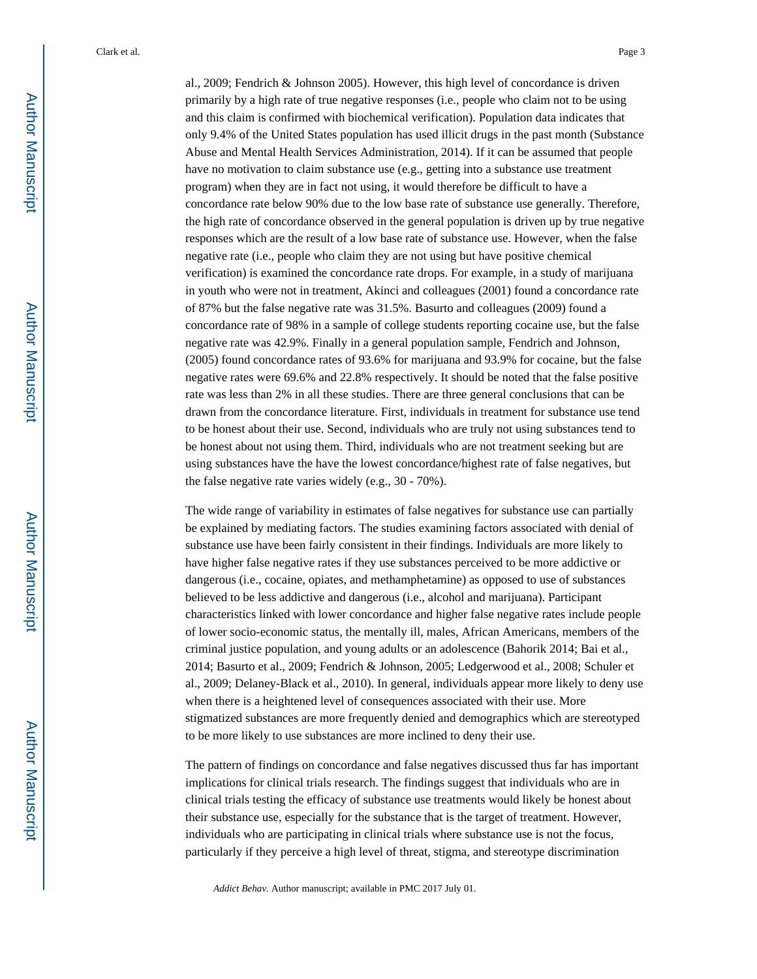al., 2009; Fendrich & Johnson 2005). However, this high level of concordance is driven primarily by a high rate of true negative responses (i.e., people who claim not to be using and this claim is confirmed with biochemical verification). Population data indicates that only 9.4% of the United States population has used illicit drugs in the past month (Substance Abuse and Mental Health Services Administration, 2014). If it can be assumed that people have no motivation to claim substance use (e.g., getting into a substance use treatment program) when they are in fact not using, it would therefore be difficult to have a concordance rate below 90% due to the low base rate of substance use generally. Therefore, the high rate of concordance observed in the general population is driven up by true negative responses which are the result of a low base rate of substance use. However, when the false negative rate (i.e., people who claim they are not using but have positive chemical verification) is examined the concordance rate drops. For example, in a study of marijuana in youth who were not in treatment, Akinci and colleagues (2001) found a concordance rate of 87% but the false negative rate was 31.5%. Basurto and colleagues (2009) found a concordance rate of 98% in a sample of college students reporting cocaine use, but the false negative rate was 42.9%. Finally in a general population sample, Fendrich and Johnson, (2005) found concordance rates of 93.6% for marijuana and 93.9% for cocaine, but the false negative rates were 69.6% and 22.8% respectively. It should be noted that the false positive rate was less than 2% in all these studies. There are three general conclusions that can be drawn from the concordance literature. First, individuals in treatment for substance use tend to be honest about their use. Second, individuals who are truly not using substances tend to be honest about not using them. Third, individuals who are not treatment seeking but are using substances have the have the lowest concordance/highest rate of false negatives, but the false negative rate varies widely (e.g., 30 - 70%).

The wide range of variability in estimates of false negatives for substance use can partially be explained by mediating factors. The studies examining factors associated with denial of substance use have been fairly consistent in their findings. Individuals are more likely to have higher false negative rates if they use substances perceived to be more addictive or dangerous (i.e., cocaine, opiates, and methamphetamine) as opposed to use of substances believed to be less addictive and dangerous (i.e., alcohol and marijuana). Participant characteristics linked with lower concordance and higher false negative rates include people of lower socio-economic status, the mentally ill, males, African Americans, members of the criminal justice population, and young adults or an adolescence (Bahorik 2014; Bai et al., 2014; Basurto et al., 2009; Fendrich & Johnson, 2005; Ledgerwood et al., 2008; Schuler et al., 2009; Delaney-Black et al., 2010). In general, individuals appear more likely to deny use when there is a heightened level of consequences associated with their use. More stigmatized substances are more frequently denied and demographics which are stereotyped to be more likely to use substances are more inclined to deny their use.

The pattern of findings on concordance and false negatives discussed thus far has important implications for clinical trials research. The findings suggest that individuals who are in clinical trials testing the efficacy of substance use treatments would likely be honest about their substance use, especially for the substance that is the target of treatment. However, individuals who are participating in clinical trials where substance use is not the focus, particularly if they perceive a high level of threat, stigma, and stereotype discrimination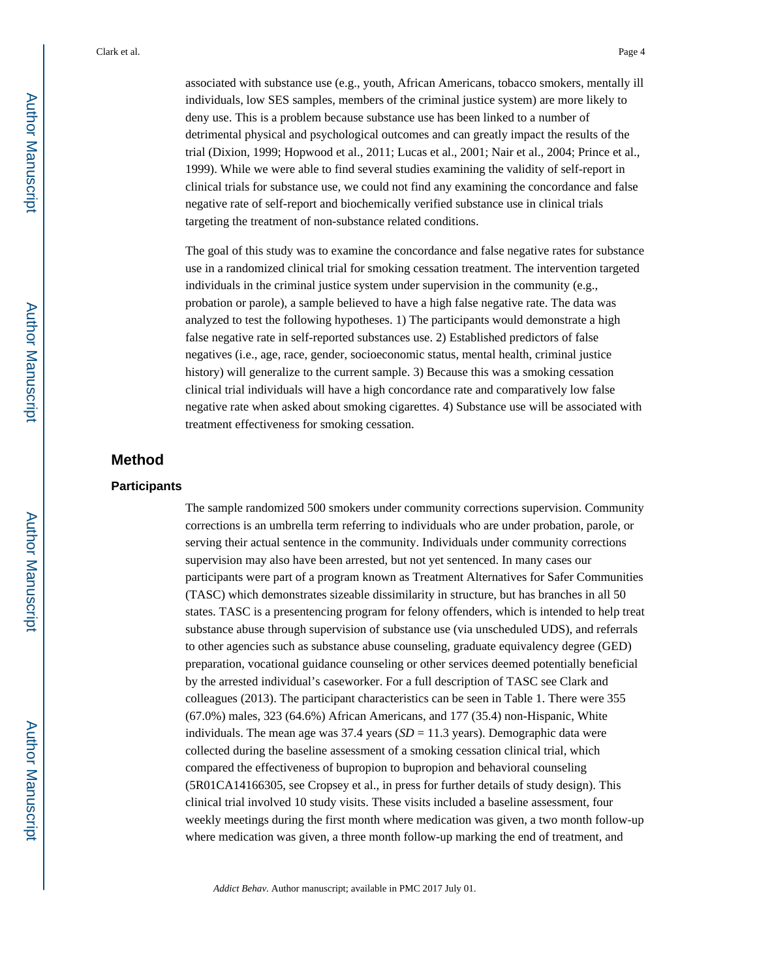associated with substance use (e.g., youth, African Americans, tobacco smokers, mentally ill individuals, low SES samples, members of the criminal justice system) are more likely to deny use. This is a problem because substance use has been linked to a number of detrimental physical and psychological outcomes and can greatly impact the results of the trial (Dixion, 1999; Hopwood et al., 2011; Lucas et al., 2001; Nair et al., 2004; Prince et al., 1999). While we were able to find several studies examining the validity of self-report in clinical trials for substance use, we could not find any examining the concordance and false negative rate of self-report and biochemically verified substance use in clinical trials targeting the treatment of non-substance related conditions.

The goal of this study was to examine the concordance and false negative rates for substance use in a randomized clinical trial for smoking cessation treatment. The intervention targeted individuals in the criminal justice system under supervision in the community (e.g., probation or parole), a sample believed to have a high false negative rate. The data was analyzed to test the following hypotheses. 1) The participants would demonstrate a high false negative rate in self-reported substances use. 2) Established predictors of false negatives (i.e., age, race, gender, socioeconomic status, mental health, criminal justice history) will generalize to the current sample. 3) Because this was a smoking cessation clinical trial individuals will have a high concordance rate and comparatively low false negative rate when asked about smoking cigarettes. 4) Substance use will be associated with treatment effectiveness for smoking cessation.

#### **Method**

#### **Participants**

The sample randomized 500 smokers under community corrections supervision. Community corrections is an umbrella term referring to individuals who are under probation, parole, or serving their actual sentence in the community. Individuals under community corrections supervision may also have been arrested, but not yet sentenced. In many cases our participants were part of a program known as Treatment Alternatives for Safer Communities (TASC) which demonstrates sizeable dissimilarity in structure, but has branches in all 50 states. TASC is a presentencing program for felony offenders, which is intended to help treat substance abuse through supervision of substance use (via unscheduled UDS), and referrals to other agencies such as substance abuse counseling, graduate equivalency degree (GED) preparation, vocational guidance counseling or other services deemed potentially beneficial by the arrested individual's caseworker. For a full description of TASC see Clark and colleagues (2013). The participant characteristics can be seen in Table 1. There were 355 (67.0%) males, 323 (64.6%) African Americans, and 177 (35.4) non-Hispanic, White individuals. The mean age was  $37.4$  years ( $SD = 11.3$  years). Demographic data were collected during the baseline assessment of a smoking cessation clinical trial, which compared the effectiveness of bupropion to bupropion and behavioral counseling (5R01CA14166305, see Cropsey et al., in press for further details of study design). This clinical trial involved 10 study visits. These visits included a baseline assessment, four weekly meetings during the first month where medication was given, a two month follow-up where medication was given, a three month follow-up marking the end of treatment, and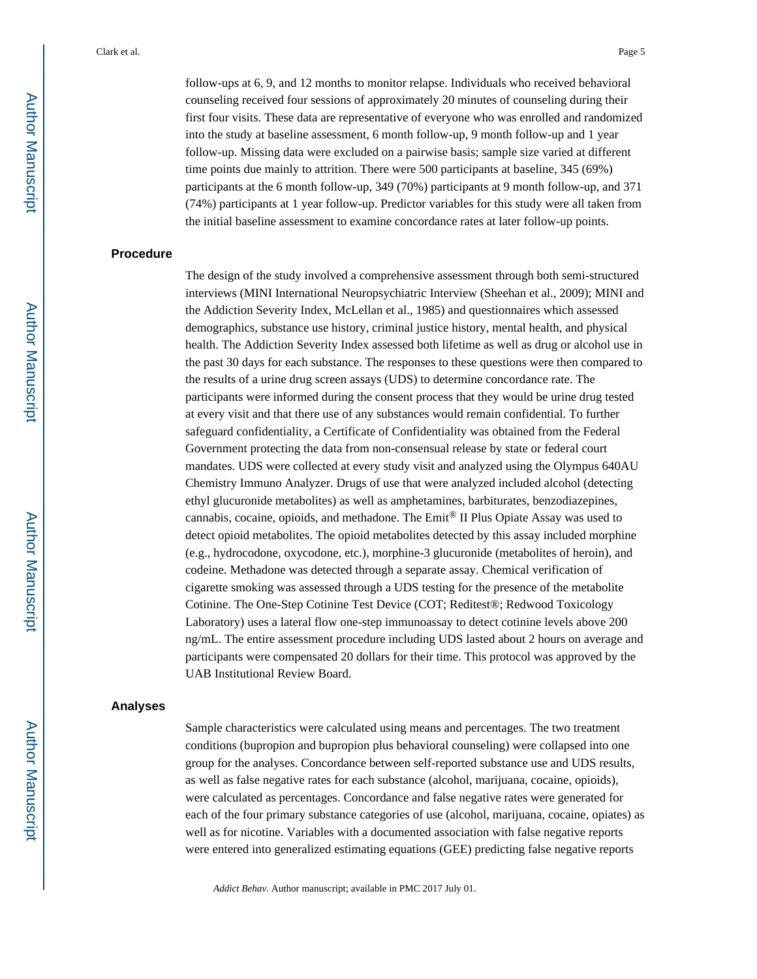follow-ups at 6, 9, and 12 months to monitor relapse. Individuals who received behavioral counseling received four sessions of approximately 20 minutes of counseling during their first four visits. These data are representative of everyone who was enrolled and randomized into the study at baseline assessment, 6 month follow-up, 9 month follow-up and 1 year follow-up. Missing data were excluded on a pairwise basis; sample size varied at different time points due mainly to attrition. There were 500 participants at baseline, 345 (69%) participants at the 6 month follow-up, 349 (70%) participants at 9 month follow-up, and 371 (74%) participants at 1 year follow-up. Predictor variables for this study were all taken from the initial baseline assessment to examine concordance rates at later follow-up points.

#### **Procedure**

The design of the study involved a comprehensive assessment through both semi-structured interviews (MINI International Neuropsychiatric Interview (Sheehan et al., 2009); MINI and the Addiction Severity Index, McLellan et al., 1985) and questionnaires which assessed demographics, substance use history, criminal justice history, mental health, and physical health. The Addiction Severity Index assessed both lifetime as well as drug or alcohol use in the past 30 days for each substance. The responses to these questions were then compared to the results of a urine drug screen assays (UDS) to determine concordance rate. The participants were informed during the consent process that they would be urine drug tested at every visit and that there use of any substances would remain confidential. To further safeguard confidentiality, a Certificate of Confidentiality was obtained from the Federal Government protecting the data from non-consensual release by state or federal court mandates. UDS were collected at every study visit and analyzed using the Olympus 640AU Chemistry Immuno Analyzer. Drugs of use that were analyzed included alcohol (detecting ethyl glucuronide metabolites) as well as amphetamines, barbiturates, benzodiazepines, cannabis, cocaine, opioids, and methadone. The Emit® II Plus Opiate Assay was used to detect opioid metabolites. The opioid metabolites detected by this assay included morphine (e.g., hydrocodone, oxycodone, etc.), morphine-3 glucuronide (metabolites of heroin), and codeine. Methadone was detected through a separate assay. Chemical verification of cigarette smoking was assessed through a UDS testing for the presence of the metabolite Cotinine. The One-Step Cotinine Test Device (COT; Reditest®; Redwood Toxicology Laboratory) uses a lateral flow one-step immunoassay to detect cotinine levels above 200 ng/mL. The entire assessment procedure including UDS lasted about 2 hours on average and participants were compensated 20 dollars for their time. This protocol was approved by the UAB Institutional Review Board.

#### **Analyses**

Sample characteristics were calculated using means and percentages. The two treatment conditions (bupropion and bupropion plus behavioral counseling) were collapsed into one group for the analyses. Concordance between self-reported substance use and UDS results, as well as false negative rates for each substance (alcohol, marijuana, cocaine, opioids), were calculated as percentages. Concordance and false negative rates were generated for each of the four primary substance categories of use (alcohol, marijuana, cocaine, opiates) as well as for nicotine. Variables with a documented association with false negative reports were entered into generalized estimating equations (GEE) predicting false negative reports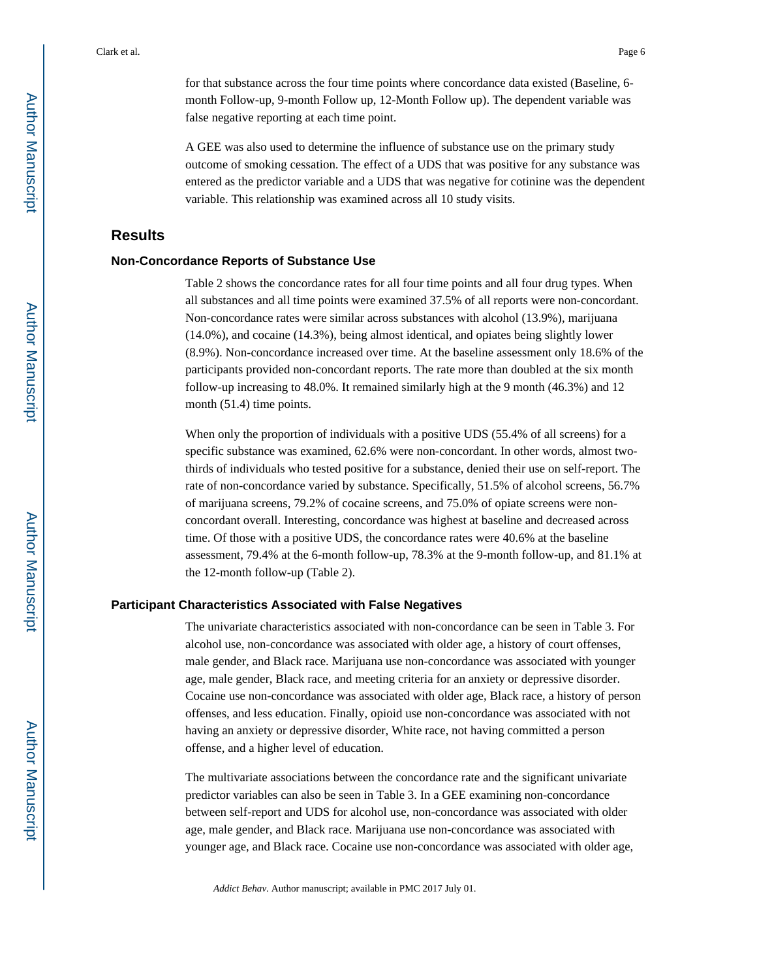for that substance across the four time points where concordance data existed (Baseline, 6 month Follow-up, 9-month Follow up, 12-Month Follow up). The dependent variable was false negative reporting at each time point.

A GEE was also used to determine the influence of substance use on the primary study outcome of smoking cessation. The effect of a UDS that was positive for any substance was entered as the predictor variable and a UDS that was negative for cotinine was the dependent variable. This relationship was examined across all 10 study visits.

#### **Results**

#### **Non-Concordance Reports of Substance Use**

Table 2 shows the concordance rates for all four time points and all four drug types. When all substances and all time points were examined 37.5% of all reports were non-concordant. Non-concordance rates were similar across substances with alcohol (13.9%), marijuana (14.0%), and cocaine (14.3%), being almost identical, and opiates being slightly lower (8.9%). Non-concordance increased over time. At the baseline assessment only 18.6% of the participants provided non-concordant reports. The rate more than doubled at the six month follow-up increasing to 48.0%. It remained similarly high at the 9 month (46.3%) and 12 month  $(51.4)$  time points.

When only the proportion of individuals with a positive UDS (55.4% of all screens) for a specific substance was examined, 62.6% were non-concordant. In other words, almost twothirds of individuals who tested positive for a substance, denied their use on self-report. The rate of non-concordance varied by substance. Specifically, 51.5% of alcohol screens, 56.7% of marijuana screens, 79.2% of cocaine screens, and 75.0% of opiate screens were nonconcordant overall. Interesting, concordance was highest at baseline and decreased across time. Of those with a positive UDS, the concordance rates were 40.6% at the baseline assessment, 79.4% at the 6-month follow-up, 78.3% at the 9-month follow-up, and 81.1% at the 12-month follow-up (Table 2).

#### **Participant Characteristics Associated with False Negatives**

The univariate characteristics associated with non-concordance can be seen in Table 3. For alcohol use, non-concordance was associated with older age, a history of court offenses, male gender, and Black race. Marijuana use non-concordance was associated with younger age, male gender, Black race, and meeting criteria for an anxiety or depressive disorder. Cocaine use non-concordance was associated with older age, Black race, a history of person offenses, and less education. Finally, opioid use non-concordance was associated with not having an anxiety or depressive disorder, White race, not having committed a person offense, and a higher level of education.

The multivariate associations between the concordance rate and the significant univariate predictor variables can also be seen in Table 3. In a GEE examining non-concordance between self-report and UDS for alcohol use, non-concordance was associated with older age, male gender, and Black race. Marijuana use non-concordance was associated with younger age, and Black race. Cocaine use non-concordance was associated with older age,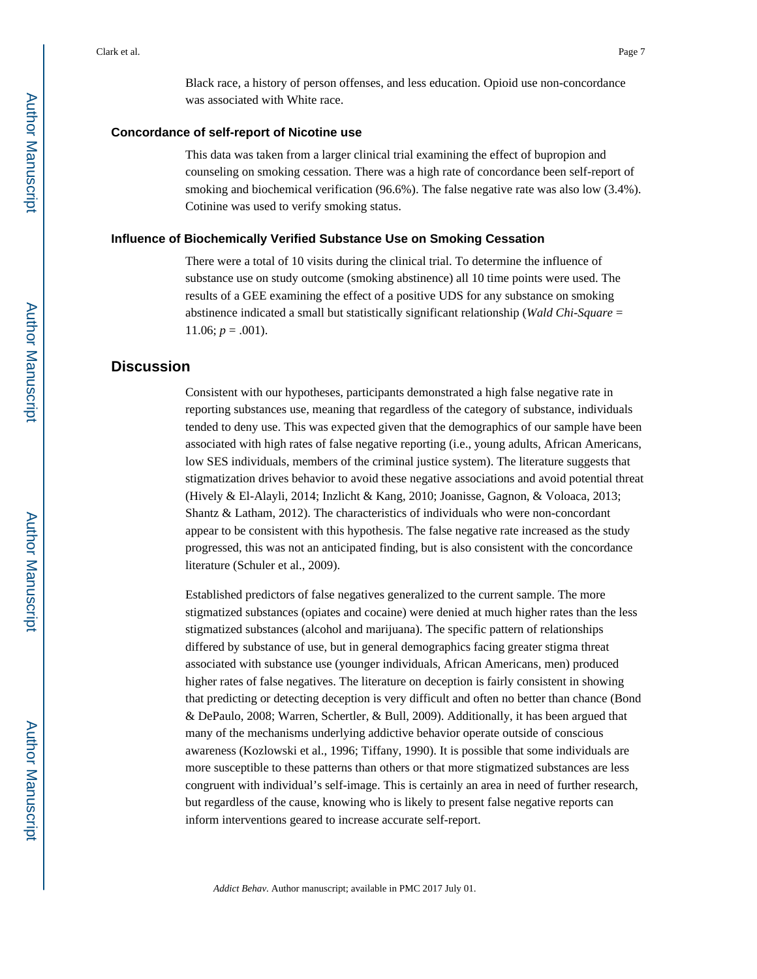Black race, a history of person offenses, and less education. Opioid use non-concordance was associated with White race.

#### **Concordance of self-report of Nicotine use**

This data was taken from a larger clinical trial examining the effect of bupropion and counseling on smoking cessation. There was a high rate of concordance been self-report of smoking and biochemical verification (96.6%). The false negative rate was also low (3.4%). Cotinine was used to verify smoking status.

#### **Influence of Biochemically Verified Substance Use on Smoking Cessation**

There were a total of 10 visits during the clinical trial. To determine the influence of substance use on study outcome (smoking abstinence) all 10 time points were used. The results of a GEE examining the effect of a positive UDS for any substance on smoking abstinence indicated a small but statistically significant relationship (*Wald Chi-Square* = 11.06;  $p = .001$ ).

#### **Discussion**

Consistent with our hypotheses, participants demonstrated a high false negative rate in reporting substances use, meaning that regardless of the category of substance, individuals tended to deny use. This was expected given that the demographics of our sample have been associated with high rates of false negative reporting (i.e., young adults, African Americans, low SES individuals, members of the criminal justice system). The literature suggests that stigmatization drives behavior to avoid these negative associations and avoid potential threat (Hively & El-Alayli, 2014; Inzlicht & Kang, 2010; Joanisse, Gagnon, & Voloaca, 2013; Shantz & Latham, 2012). The characteristics of individuals who were non-concordant appear to be consistent with this hypothesis. The false negative rate increased as the study progressed, this was not an anticipated finding, but is also consistent with the concordance literature (Schuler et al., 2009).

Established predictors of false negatives generalized to the current sample. The more stigmatized substances (opiates and cocaine) were denied at much higher rates than the less stigmatized substances (alcohol and marijuana). The specific pattern of relationships differed by substance of use, but in general demographics facing greater stigma threat associated with substance use (younger individuals, African Americans, men) produced higher rates of false negatives. The literature on deception is fairly consistent in showing that predicting or detecting deception is very difficult and often no better than chance (Bond & DePaulo, 2008; Warren, Schertler, & Bull, 2009). Additionally, it has been argued that many of the mechanisms underlying addictive behavior operate outside of conscious awareness (Kozlowski et al., 1996; Tiffany, 1990). It is possible that some individuals are more susceptible to these patterns than others or that more stigmatized substances are less congruent with individual's self-image. This is certainly an area in need of further research, but regardless of the cause, knowing who is likely to present false negative reports can inform interventions geared to increase accurate self-report.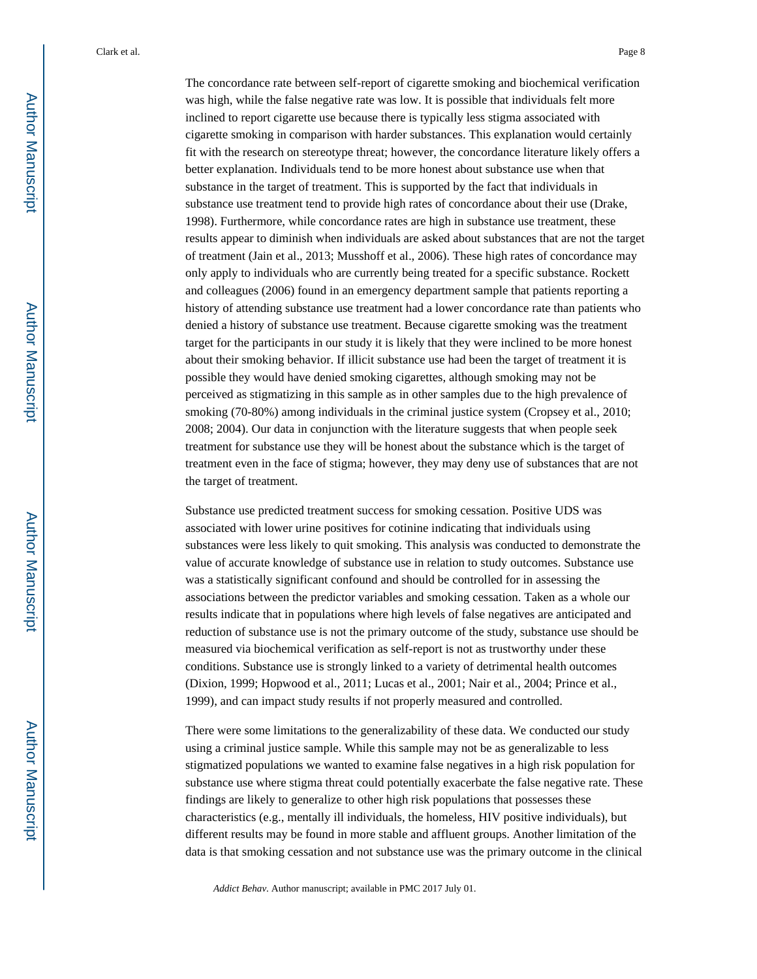The concordance rate between self-report of cigarette smoking and biochemical verification was high, while the false negative rate was low. It is possible that individuals felt more inclined to report cigarette use because there is typically less stigma associated with cigarette smoking in comparison with harder substances. This explanation would certainly fit with the research on stereotype threat; however, the concordance literature likely offers a better explanation. Individuals tend to be more honest about substance use when that substance in the target of treatment. This is supported by the fact that individuals in substance use treatment tend to provide high rates of concordance about their use (Drake, 1998). Furthermore, while concordance rates are high in substance use treatment, these results appear to diminish when individuals are asked about substances that are not the target of treatment (Jain et al., 2013; Musshoff et al., 2006). These high rates of concordance may only apply to individuals who are currently being treated for a specific substance. Rockett and colleagues (2006) found in an emergency department sample that patients reporting a history of attending substance use treatment had a lower concordance rate than patients who denied a history of substance use treatment. Because cigarette smoking was the treatment target for the participants in our study it is likely that they were inclined to be more honest about their smoking behavior. If illicit substance use had been the target of treatment it is possible they would have denied smoking cigarettes, although smoking may not be perceived as stigmatizing in this sample as in other samples due to the high prevalence of smoking (70-80%) among individuals in the criminal justice system (Cropsey et al., 2010; 2008; 2004). Our data in conjunction with the literature suggests that when people seek treatment for substance use they will be honest about the substance which is the target of treatment even in the face of stigma; however, they may deny use of substances that are not the target of treatment.

Substance use predicted treatment success for smoking cessation. Positive UDS was associated with lower urine positives for cotinine indicating that individuals using substances were less likely to quit smoking. This analysis was conducted to demonstrate the value of accurate knowledge of substance use in relation to study outcomes. Substance use was a statistically significant confound and should be controlled for in assessing the associations between the predictor variables and smoking cessation. Taken as a whole our results indicate that in populations where high levels of false negatives are anticipated and reduction of substance use is not the primary outcome of the study, substance use should be measured via biochemical verification as self-report is not as trustworthy under these conditions. Substance use is strongly linked to a variety of detrimental health outcomes (Dixion, 1999; Hopwood et al., 2011; Lucas et al., 2001; Nair et al., 2004; Prince et al., 1999), and can impact study results if not properly measured and controlled.

There were some limitations to the generalizability of these data. We conducted our study using a criminal justice sample. While this sample may not be as generalizable to less stigmatized populations we wanted to examine false negatives in a high risk population for substance use where stigma threat could potentially exacerbate the false negative rate. These findings are likely to generalize to other high risk populations that possesses these characteristics (e.g., mentally ill individuals, the homeless, HIV positive individuals), but different results may be found in more stable and affluent groups. Another limitation of the data is that smoking cessation and not substance use was the primary outcome in the clinical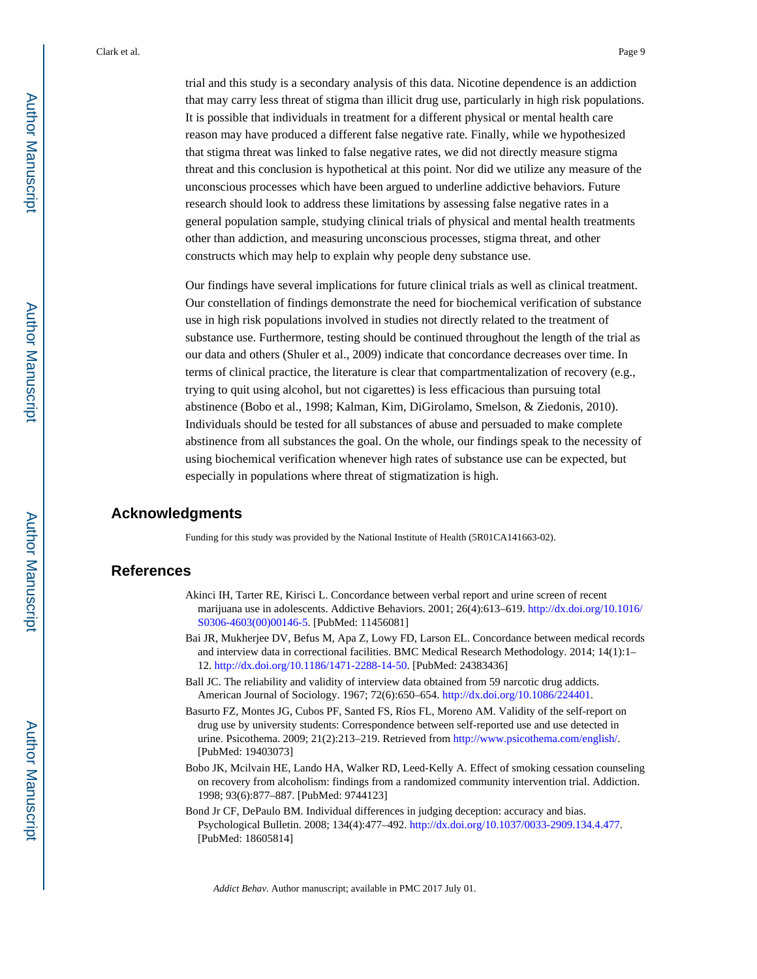trial and this study is a secondary analysis of this data. Nicotine dependence is an addiction that may carry less threat of stigma than illicit drug use, particularly in high risk populations. It is possible that individuals in treatment for a different physical or mental health care reason may have produced a different false negative rate. Finally, while we hypothesized that stigma threat was linked to false negative rates, we did not directly measure stigma threat and this conclusion is hypothetical at this point. Nor did we utilize any measure of the unconscious processes which have been argued to underline addictive behaviors. Future research should look to address these limitations by assessing false negative rates in a general population sample, studying clinical trials of physical and mental health treatments other than addiction, and measuring unconscious processes, stigma threat, and other constructs which may help to explain why people deny substance use.

Our findings have several implications for future clinical trials as well as clinical treatment. Our constellation of findings demonstrate the need for biochemical verification of substance use in high risk populations involved in studies not directly related to the treatment of substance use. Furthermore, testing should be continued throughout the length of the trial as our data and others (Shuler et al., 2009) indicate that concordance decreases over time. In terms of clinical practice, the literature is clear that compartmentalization of recovery (e.g., trying to quit using alcohol, but not cigarettes) is less efficacious than pursuing total abstinence (Bobo et al., 1998; Kalman, Kim, DiGirolamo, Smelson, & Ziedonis, 2010). Individuals should be tested for all substances of abuse and persuaded to make complete abstinence from all substances the goal. On the whole, our findings speak to the necessity of using biochemical verification whenever high rates of substance use can be expected, but especially in populations where threat of stigmatization is high.

#### **Acknowledgments**

Funding for this study was provided by the National Institute of Health (5R01CA141663-02).

#### **References**

- Akinci IH, Tarter RE, Kirisci L. Concordance between verbal report and urine screen of recent marijuana use in adolescents. Addictive Behaviors. 2001; 26(4):613–619. [http://dx.doi.org/10.1016/](http://dx.doi.org/10.1016/S0306-4603(00)00146-5) [S0306-4603\(00\)00146-5.](http://dx.doi.org/10.1016/S0306-4603(00)00146-5) [PubMed: 11456081]
- Bai JR, Mukherjee DV, Befus M, Apa Z, Lowy FD, Larson EL. Concordance between medical records and interview data in correctional facilities. BMC Medical Research Methodology. 2014; 14(1):1– 12. <http://dx.doi.org/10.1186/1471-2288-14-50>. [PubMed: 24383436]
- Ball JC. The reliability and validity of interview data obtained from 59 narcotic drug addicts. American Journal of Sociology. 1967; 72(6):650–654. [http://dx.doi.org/10.1086/224401.](http://dx.doi.org/10.1086/224401)
- Basurto FZ, Montes JG, Cubos PF, Santed FS, Ríos FL, Moreno AM. Validity of the self-report on drug use by university students: Correspondence between self-reported use and use detected in urine. Psicothema. 2009; 21(2):213–219. Retrieved from [http://www.psicothema.com/english/.](http://www.psicothema.com/english/) [PubMed: 19403073]
- Bobo JK, Mcilvain HE, Lando HA, Walker RD, Leed-Kelly A. Effect of smoking cessation counseling on recovery from alcoholism: findings from a randomized community intervention trial. Addiction. 1998; 93(6):877–887. [PubMed: 9744123]
- Bond Jr CF, DePaulo BM. Individual differences in judging deception: accuracy and bias. Psychological Bulletin. 2008; 134(4):477–492. [http://dx.doi.org/10.1037/0033-2909.134.4.477.](http://dx.doi.org/10.1037/0033-2909.134.4.477) [PubMed: 18605814]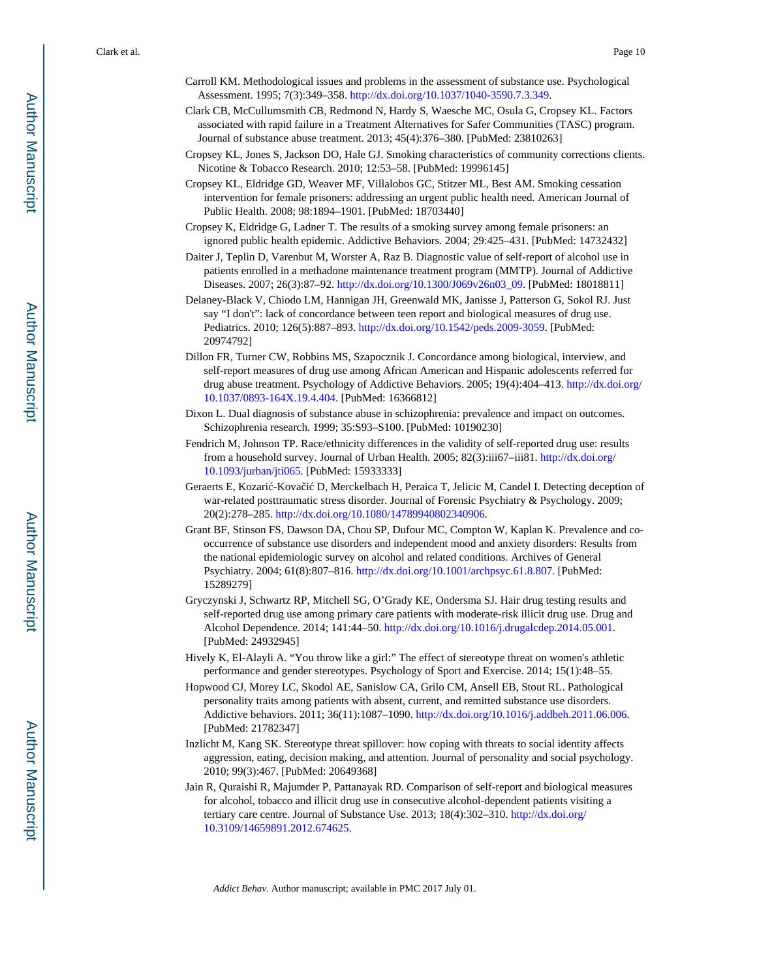- Carroll KM. Methodological issues and problems in the assessment of substance use. Psychological Assessment. 1995; 7(3):349–358.<http://dx.doi.org/10.1037/1040-3590.7.3.349>.
- Clark CB, McCullumsmith CB, Redmond N, Hardy S, Waesche MC, Osula G, Cropsey KL. Factors associated with rapid failure in a Treatment Alternatives for Safer Communities (TASC) program. Journal of substance abuse treatment. 2013; 45(4):376–380. [PubMed: 23810263]
- Cropsey KL, Jones S, Jackson DO, Hale GJ. Smoking characteristics of community corrections clients. Nicotine & Tobacco Research. 2010; 12:53–58. [PubMed: 19996145]
- Cropsey KL, Eldridge GD, Weaver MF, Villalobos GC, Stitzer ML, Best AM. Smoking cessation intervention for female prisoners: addressing an urgent public health need. American Journal of Public Health. 2008; 98:1894–1901. [PubMed: 18703440]
- Cropsey K, Eldridge G, Ladner T. The results of a smoking survey among female prisoners: an ignored public health epidemic. Addictive Behaviors. 2004; 29:425–431. [PubMed: 14732432]
- Daiter J, Teplin D, Varenbut M, Worster A, Raz B. Diagnostic value of self-report of alcohol use in patients enrolled in a methadone maintenance treatment program (MMTP). Journal of Addictive Diseases. 2007; 26(3):87–92. [http://dx.doi.org/10.1300/J069v26n03\\_09](http://dx.doi.org/10.1300/J069v26n03_09). [PubMed: 18018811]
- Delaney-Black V, Chiodo LM, Hannigan JH, Greenwald MK, Janisse J, Patterson G, Sokol RJ. Just say "I don't": lack of concordance between teen report and biological measures of drug use. Pediatrics. 2010; 126(5):887–893. [http://dx.doi.org/10.1542/peds.2009-3059.](http://dx.doi.org/10.1542/peds.2009-3059) [PubMed: 20974792]
- Dillon FR, Turner CW, Robbins MS, Szapocznik J. Concordance among biological, interview, and self-report measures of drug use among African American and Hispanic adolescents referred for drug abuse treatment. Psychology of Addictive Behaviors. 2005; 19(4):404–413. [http://dx.doi.org/](http://dx.doi.org/10.1037/0893-164X.19.4.404) [10.1037/0893-164X.19.4.404](http://dx.doi.org/10.1037/0893-164X.19.4.404). [PubMed: 16366812]
- Dixon L. Dual diagnosis of substance abuse in schizophrenia: prevalence and impact on outcomes. Schizophrenia research. 1999; 35:S93–S100. [PubMed: 10190230]
- Fendrich M, Johnson TP. Race/ethnicity differences in the validity of self-reported drug use: results from a household survey. Journal of Urban Health. 2005; 82(3):iii67–iii81. [http://dx.doi.org/](http://dx.doi.org/10.1093/jurban/jti065) [10.1093/jurban/jti065](http://dx.doi.org/10.1093/jurban/jti065). [PubMed: 15933333]
- Geraerts E, Kozari -Kova i D, Merckelbach H, Peraica T, Jelicic M, Candel I. Detecting deception of war-related posttraumatic stress disorder. Journal of Forensic Psychiatry & Psychology. 2009; 20(2):278–285. <http://dx.doi.org/10.1080/14789940802340906>.
- Grant BF, Stinson FS, Dawson DA, Chou SP, Dufour MC, Compton W, Kaplan K. Prevalence and cooccurrence of substance use disorders and independent mood and anxiety disorders: Results from the national epidemiologic survey on alcohol and related conditions. Archives of General Psychiatry. 2004; 61(8):807–816. [http://dx.doi.org/10.1001/archpsyc.61.8.807.](http://dx.doi.org/10.1001/archpsyc.61.8.807) [PubMed: 15289279]
- Gryczynski J, Schwartz RP, Mitchell SG, O'Grady KE, Ondersma SJ. Hair drug testing results and self-reported drug use among primary care patients with moderate-risk illicit drug use. Drug and Alcohol Dependence. 2014; 141:44–50. [http://dx.doi.org/10.1016/j.drugalcdep.2014.05.001.](http://dx.doi.org/10.1016/j.drugalcdep.2014.05.001) [PubMed: 24932945]
- Hively K, El-Alayli A. "You throw like a girl:" The effect of stereotype threat on women's athletic performance and gender stereotypes. Psychology of Sport and Exercise. 2014; 15(1):48–55.
- Hopwood CJ, Morey LC, Skodol AE, Sanislow CA, Grilo CM, Ansell EB, Stout RL. Pathological personality traits among patients with absent, current, and remitted substance use disorders. Addictive behaviors. 2011; 36(11):1087–1090.<http://dx.doi.org/10.1016/j.addbeh.2011.06.006>. [PubMed: 21782347]
- Inzlicht M, Kang SK. Stereotype threat spillover: how coping with threats to social identity affects aggression, eating, decision making, and attention. Journal of personality and social psychology. 2010; 99(3):467. [PubMed: 20649368]
- Jain R, Quraishi R, Majumder P, Pattanayak RD. Comparison of self-report and biological measures for alcohol, tobacco and illicit drug use in consecutive alcohol-dependent patients visiting a tertiary care centre. Journal of Substance Use. 2013; 18(4):302–310. [http://dx.doi.org/](http://dx.doi.org/10.3109/14659891.2012.674625) [10.3109/14659891.2012.674625](http://dx.doi.org/10.3109/14659891.2012.674625).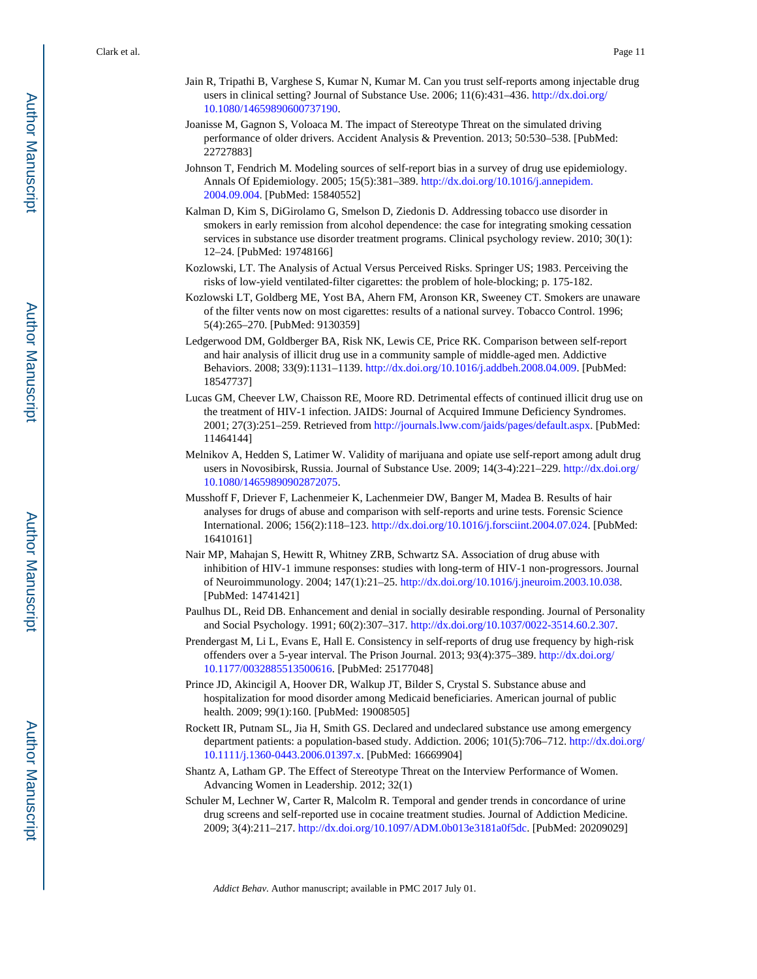- Jain R, Tripathi B, Varghese S, Kumar N, Kumar M. Can you trust self-reports among injectable drug users in clinical setting? Journal of Substance Use. 2006; 11(6):431–436. [http://dx.doi.org/](http://dx.doi.org/10.1080/14659890600737190) [10.1080/14659890600737190](http://dx.doi.org/10.1080/14659890600737190).
- Joanisse M, Gagnon S, Voloaca M. The impact of Stereotype Threat on the simulated driving performance of older drivers. Accident Analysis & Prevention. 2013; 50:530–538. [PubMed: 22727883]
- Johnson T, Fendrich M. Modeling sources of self-report bias in a survey of drug use epidemiology. Annals Of Epidemiology. 2005; 15(5):381–389. [http://dx.doi.org/10.1016/j.annepidem.](http://dx.doi.org/10.1016/j.annepidem.2004.09.004) [2004.09.004.](http://dx.doi.org/10.1016/j.annepidem.2004.09.004) [PubMed: 15840552]
- Kalman D, Kim S, DiGirolamo G, Smelson D, Ziedonis D. Addressing tobacco use disorder in smokers in early remission from alcohol dependence: the case for integrating smoking cessation services in substance use disorder treatment programs. Clinical psychology review. 2010; 30(1): 12–24. [PubMed: 19748166]
- Kozlowski, LT. The Analysis of Actual Versus Perceived Risks. Springer US; 1983. Perceiving the risks of low-yield ventilated-filter cigarettes: the problem of hole-blocking; p. 175-182.
- Kozlowski LT, Goldberg ME, Yost BA, Ahern FM, Aronson KR, Sweeney CT. Smokers are unaware of the filter vents now on most cigarettes: results of a national survey. Tobacco Control. 1996; 5(4):265–270. [PubMed: 9130359]
- Ledgerwood DM, Goldberger BA, Risk NK, Lewis CE, Price RK. Comparison between self-report and hair analysis of illicit drug use in a community sample of middle-aged men. Addictive Behaviors. 2008; 33(9):1131–1139. <http://dx.doi.org/10.1016/j.addbeh.2008.04.009>. [PubMed: 18547737]
- Lucas GM, Cheever LW, Chaisson RE, Moore RD. Detrimental effects of continued illicit drug use on the treatment of HIV-1 infection. JAIDS: Journal of Acquired Immune Deficiency Syndromes. 2001; 27(3):251–259. Retrieved from <http://journals.lww.com/jaids/pages/default.aspx>. [PubMed: 11464144]
- Melnikov A, Hedden S, Latimer W. Validity of marijuana and opiate use self-report among adult drug users in Novosibirsk, Russia. Journal of Substance Use. 2009; 14(3-4):221–229. [http://dx.doi.org/](http://dx.doi.org/10.1080/14659890902872075) [10.1080/14659890902872075](http://dx.doi.org/10.1080/14659890902872075).
- Musshoff F, Driever F, Lachenmeier K, Lachenmeier DW, Banger M, Madea B. Results of hair analyses for drugs of abuse and comparison with self-reports and urine tests. Forensic Science International. 2006; 156(2):118–123. [http://dx.doi.org/10.1016/j.forsciint.2004.07.024.](http://dx.doi.org/10.1016/j.forsciint.2004.07.024) [PubMed: 16410161]
- Nair MP, Mahajan S, Hewitt R, Whitney ZRB, Schwartz SA. Association of drug abuse with inhibition of HIV-1 immune responses: studies with long-term of HIV-1 non-progressors. Journal of Neuroimmunology. 2004; 147(1):21–25. <http://dx.doi.org/10.1016/j.jneuroim.2003.10.038>. [PubMed: 14741421]
- Paulhus DL, Reid DB. Enhancement and denial in socially desirable responding. Journal of Personality and Social Psychology. 1991; 60(2):307–317. [http://dx.doi.org/10.1037/0022-3514.60.2.307.](http://dx.doi.org/10.1037/0022-3514.60.2.307)
- Prendergast M, Li L, Evans E, Hall E. Consistency in self-reports of drug use frequency by high-risk offenders over a 5-year interval. The Prison Journal. 2013; 93(4):375–389. [http://dx.doi.org/](http://dx.doi.org/10.1177/0032885513500616) [10.1177/0032885513500616.](http://dx.doi.org/10.1177/0032885513500616) [PubMed: 25177048]
- Prince JD, Akincigil A, Hoover DR, Walkup JT, Bilder S, Crystal S. Substance abuse and hospitalization for mood disorder among Medicaid beneficiaries. American journal of public health. 2009; 99(1):160. [PubMed: 19008505]
- Rockett IR, Putnam SL, Jia H, Smith GS. Declared and undeclared substance use among emergency department patients: a population-based study. Addiction. 2006; 101(5):706–712. [http://dx.doi.org/](http://dx.doi.org/10.1111/j.1360-0443.2006.01397.x) [10.1111/j.1360-0443.2006.01397.x](http://dx.doi.org/10.1111/j.1360-0443.2006.01397.x). [PubMed: 16669904]
- Shantz A, Latham GP. The Effect of Stereotype Threat on the Interview Performance of Women. Advancing Women in Leadership. 2012; 32(1)
- Schuler M, Lechner W, Carter R, Malcolm R. Temporal and gender trends in concordance of urine drug screens and self-reported use in cocaine treatment studies. Journal of Addiction Medicine. 2009; 3(4):211–217.<http://dx.doi.org/10.1097/ADM.0b013e3181a0f5dc>. [PubMed: 20209029]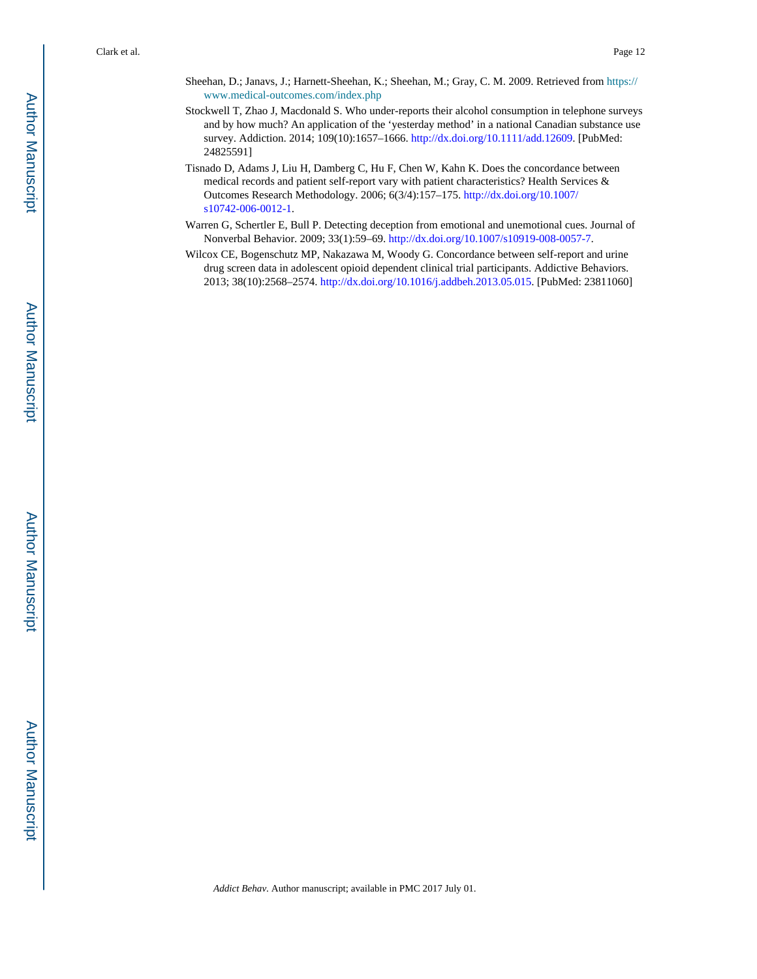- Sheehan, D.; Janavs, J.; Harnett-Sheehan, K.; Sheehan, M.; Gray, C. M. 2009. Retrieved from [https://](https://www.medical-outcomes.com/index.php) [www.medical-outcomes.com/index.php](https://www.medical-outcomes.com/index.php)
- Stockwell T, Zhao J, Macdonald S. Who under-reports their alcohol consumption in telephone surveys and by how much? An application of the 'yesterday method' in a national Canadian substance use survey. Addiction. 2014; 109(10):1657–1666. <http://dx.doi.org/10.1111/add.12609>. [PubMed: 24825591]
- Tisnado D, Adams J, Liu H, Damberg C, Hu F, Chen W, Kahn K. Does the concordance between medical records and patient self-report vary with patient characteristics? Health Services & Outcomes Research Methodology. 2006; 6(3/4):157–175. [http://dx.doi.org/10.1007/](http://dx.doi.org/10.1007/s10742-006-0012-1) [s10742-006-0012-1.](http://dx.doi.org/10.1007/s10742-006-0012-1)
- Warren G, Schertler E, Bull P. Detecting deception from emotional and unemotional cues. Journal of Nonverbal Behavior. 2009; 33(1):59–69.<http://dx.doi.org/10.1007/s10919-008-0057-7>.
- Wilcox CE, Bogenschutz MP, Nakazawa M, Woody G. Concordance between self-report and urine drug screen data in adolescent opioid dependent clinical trial participants. Addictive Behaviors. 2013; 38(10):2568–2574.<http://dx.doi.org/10.1016/j.addbeh.2013.05.015>. [PubMed: 23811060]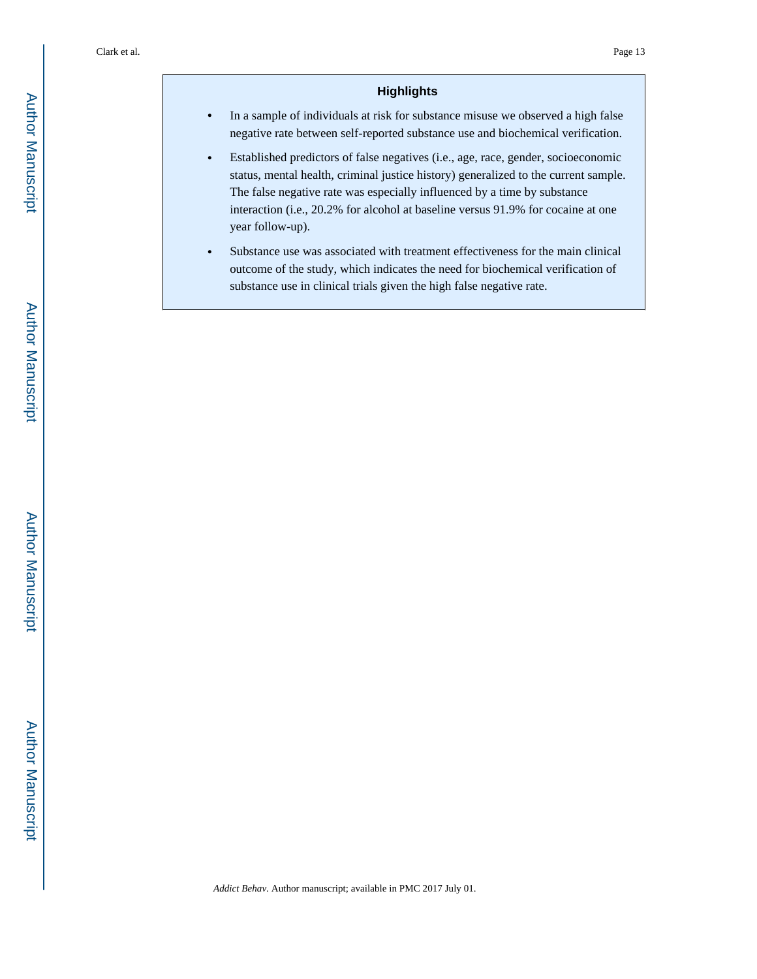#### **Highlights**

- **•** In a sample of individuals at risk for substance misuse we observed a high false negative rate between self-reported substance use and biochemical verification.
- **•** Established predictors of false negatives (i.e., age, race, gender, socioeconomic status, mental health, criminal justice history) generalized to the current sample. The false negative rate was especially influenced by a time by substance interaction (i.e., 20.2% for alcohol at baseline versus 91.9% for cocaine at one year follow-up).
- **•** Substance use was associated with treatment effectiveness for the main clinical outcome of the study, which indicates the need for biochemical verification of substance use in clinical trials given the high false negative rate.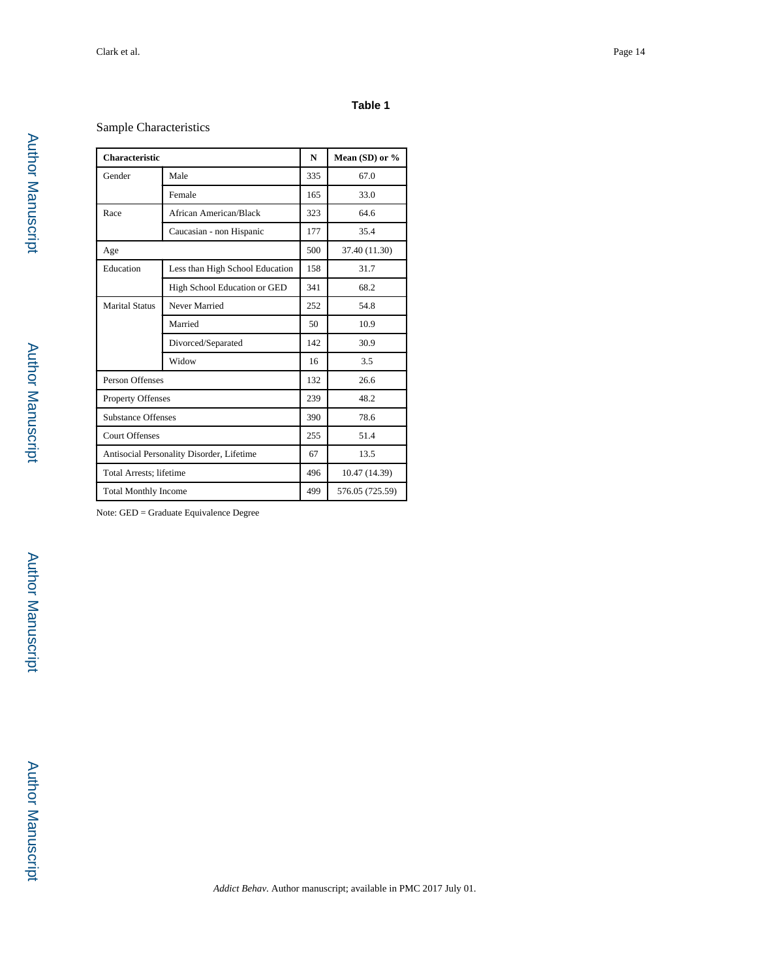#### **Table 1**

#### Sample Characteristics

| <b>Characteristic</b>       |                                           | N   | Mean (SD) or $%$ |
|-----------------------------|-------------------------------------------|-----|------------------|
| Gender                      | Male                                      | 335 | 67.0             |
|                             | Female                                    | 165 | 33.0             |
| Race                        | African American/Black                    | 323 | 64.6             |
|                             | Caucasian - non Hispanic                  | 177 | 35.4             |
| Age                         |                                           | 500 | 37.40 (11.30)    |
| Education                   | Less than High School Education           | 158 | 31.7             |
|                             | High School Education or GED              | 341 | 68.2             |
| <b>Marital Status</b>       | Never Married                             | 252 | 54.8             |
|                             | Married                                   | 50  | 10.9             |
|                             | Divorced/Separated                        | 142 | 30.9             |
|                             | Widow                                     | 16  | 3.5              |
| Person Offenses             |                                           | 132 | 26.6             |
| <b>Property Offenses</b>    |                                           | 239 | 48.2             |
| <b>Substance Offenses</b>   |                                           | 390 | 78.6             |
| <b>Court Offenses</b>       |                                           | 255 | 51.4             |
|                             | Antisocial Personality Disorder, Lifetime | 67  | 13.5             |
| Total Arrests; lifetime     |                                           | 496 | 10.47 (14.39)    |
| <b>Total Monthly Income</b> |                                           | 499 | 576.05 (725.59)  |

Note: GED = Graduate Equivalence Degree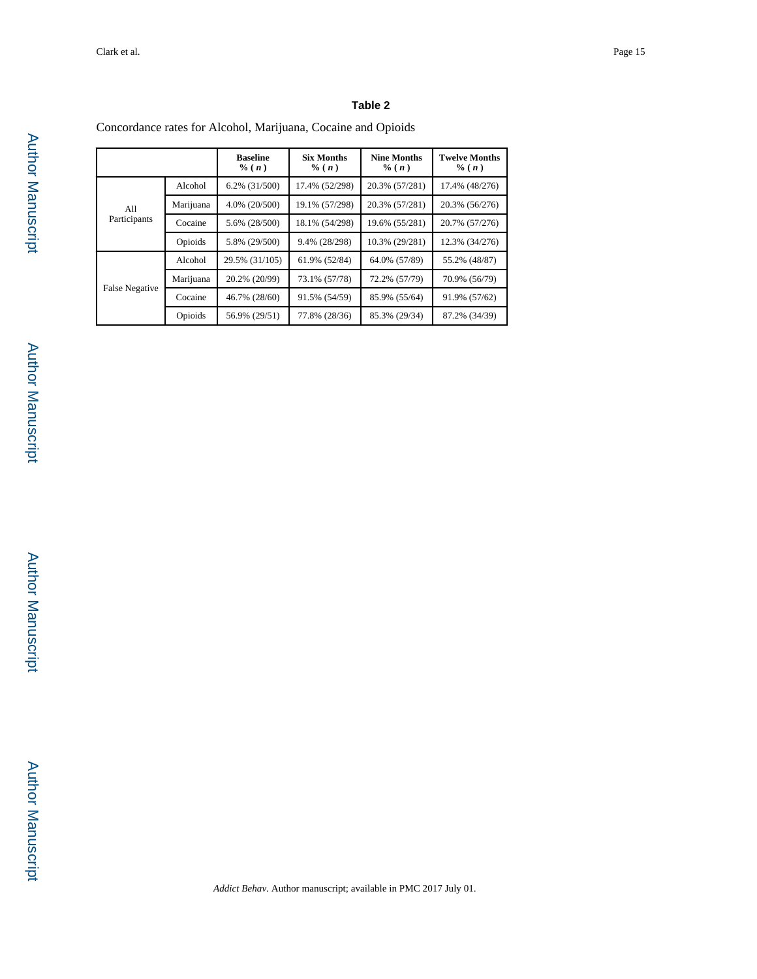## **Author Manuscript** Author Manuscript

# Author Manuscript**Author Manuscript**

#### **Table 2**

Concordance rates for Alcohol, Marijuana, Cocaine and Opioids

|                       |           | <b>Baseline</b><br>$\%$ (n) | <b>Six Months</b><br>$\%$ (n) | <b>Nine Months</b><br>$\frac{9}{6}$ (n) | <b>Twelve Months</b><br>$\%$ (n) |
|-----------------------|-----------|-----------------------------|-------------------------------|-----------------------------------------|----------------------------------|
|                       | Alcohol   | $6.2\%$ $(31/500)$          | 17.4% (52/298)                | 20.3% (57/281)                          | 17.4% (48/276)                   |
| A11                   | Marijuana | $4.0\%$ $(20/500)$          | 19.1% (57/298)                | 20.3% (57/281)                          | 20.3% (56/276)                   |
| Participants          | Cocaine   | 5.6% (28/500)               | 18.1% (54/298)                | 19.6% (55/281)                          | 20.7% (57/276)                   |
|                       | Opioids   | 5.8% (29/500)               | 9.4% (28/298)                 | 10.3% (29/281)                          | 12.3% (34/276)                   |
|                       | Alcohol   | 29.5% (31/105)              | 61.9% (52/84)                 | 64.0% (57/89)                           | 55.2% (48/87)                    |
| <b>False Negative</b> | Marijuana | 20.2% (20/99)               | 73.1% (57/78)                 | 72.2% (57/79)                           | 70.9% (56/79)                    |
|                       | Cocaine   | 46.7% (28/60)               | 91.5% (54/59)                 | 85.9% (55/64)                           | 91.9% (57/62)                    |
|                       | Opioids   | 56.9% (29/51)               | 77.8% (28/36)                 | 85.3% (29/34)                           | 87.2% (34/39)                    |